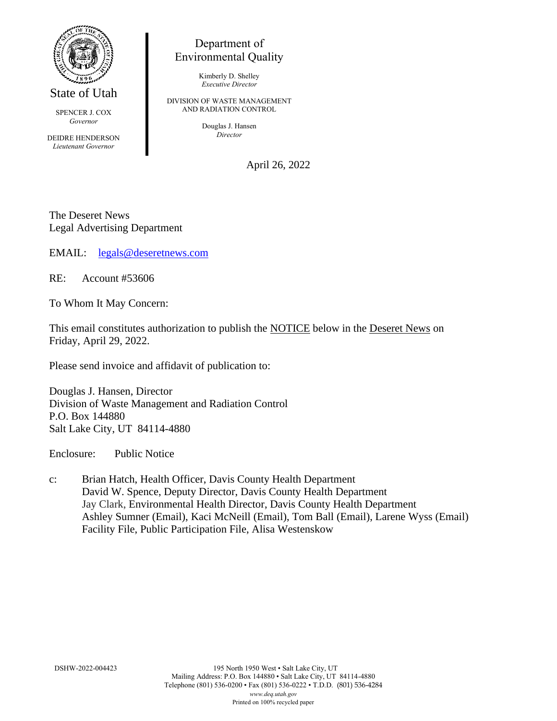

State of Utah

SPENCER J. COX *Governor*

DEIDRE HENDERSON *Lieutenant Governor*

## Department of Environmental Quality

Kimberly D. Shelley *Executive Director*

DIVISION OF WASTE MANAGEMENT AND RADIATION CONTROL

> Douglas J. Hansen *Director*

> > April 26, 2022

The Deseret News Legal Advertising Department

EMAIL: [legals@deseretnews.com](mailto:legals@deseretnews.com)

RE: Account #53606

To Whom It May Concern:

This email constitutes authorization to publish the NOTICE below in the Deseret News on Friday, April 29, 2022.

Please send invoice and affidavit of publication to:

Douglas J. Hansen, Director Division of Waste Management and Radiation Control P.O. Box 144880 Salt Lake City, UT 84114-4880

Enclosure: Public Notice

c: Brian Hatch, Health Officer, Davis County Health Department David W. Spence, Deputy Director, Davis County Health Department Jay Clark, Environmental Health Director, Davis County Health Department Ashley Sumner (Email), Kaci McNeill (Email), Tom Ball (Email), Larene Wyss (Email) Facility File, Public Participation File, Alisa Westenskow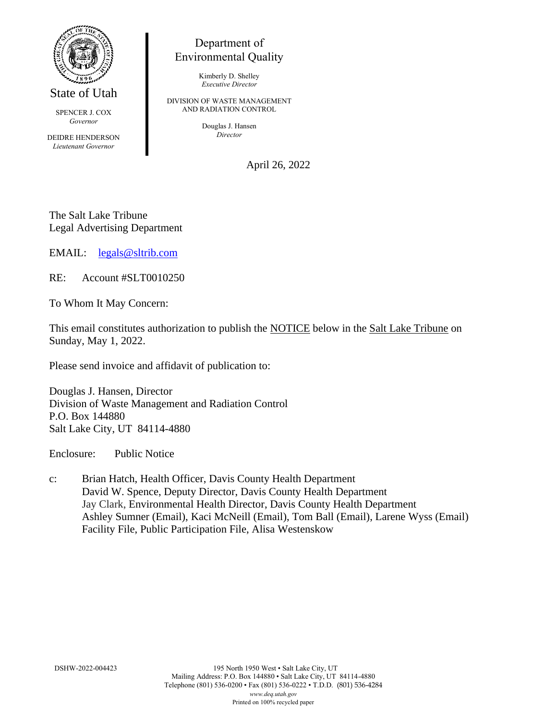

State of Utah

SPENCER J. COX *Governor*

DEIDRE HENDERSON *Lieutenant Governor*

## Department of Environmental Quality

Kimberly D. Shelley *Executive Director*

DIVISION OF WASTE MANAGEMENT AND RADIATION CONTROL

> Douglas J. Hansen *Director*

> > April 26, 2022

The Salt Lake Tribune Legal Advertising Department

EMAIL: [legals@sltrib.com](mailto:legals@sltrib.com)

RE: Account #SLT0010250

To Whom It May Concern:

This email constitutes authorization to publish the NOTICE below in the Salt Lake Tribune on Sunday, May 1, 2022.

Please send invoice and affidavit of publication to:

Douglas J. Hansen, Director Division of Waste Management and Radiation Control P.O. Box 144880 Salt Lake City, UT 84114-4880

Enclosure: Public Notice

c: Brian Hatch, Health Officer, Davis County Health Department David W. Spence, Deputy Director, Davis County Health Department Jay Clark, Environmental Health Director, Davis County Health Department Ashley Sumner (Email), Kaci McNeill (Email), Tom Ball (Email), Larene Wyss (Email) Facility File, Public Participation File, Alisa Westenskow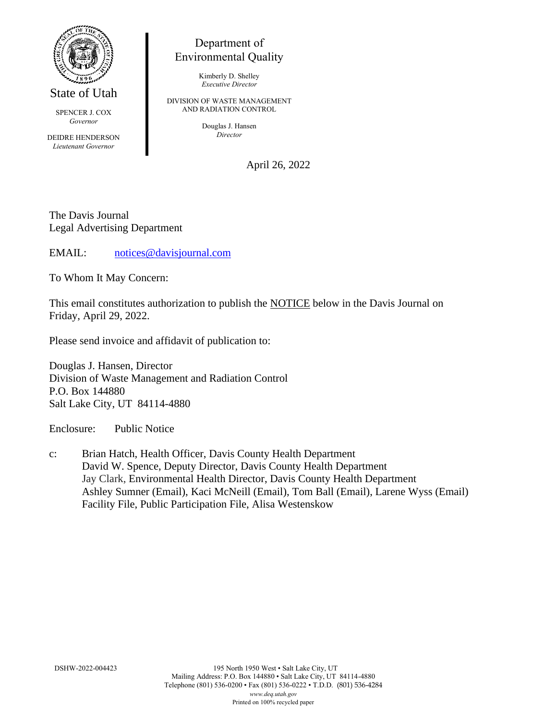

State of Utah

SPENCER J. COX *Governor*

DEIDRE HENDERSON *Lieutenant Governor*

## Department of Environmental Quality

Kimberly D. Shelley *Executive Director*

DIVISION OF WASTE MANAGEMENT AND RADIATION CONTROL

> Douglas J. Hansen *Director*

> > April 26, 2022

The Davis Journal Legal Advertising Department

EMAIL: [notices@davisjournal.com](mailto:notices@davisjournal.com)

To Whom It May Concern:

This email constitutes authorization to publish the NOTICE below in the Davis Journal on Friday, April 29, 2022.

Please send invoice and affidavit of publication to:

Douglas J. Hansen, Director Division of Waste Management and Radiation Control P.O. Box 144880 Salt Lake City, UT 84114-4880

Enclosure: Public Notice

c: Brian Hatch, Health Officer, Davis County Health Department David W. Spence, Deputy Director, Davis County Health Department Jay Clark, Environmental Health Director, Davis County Health Department Ashley Sumner (Email), Kaci McNeill (Email), Tom Ball (Email), Larene Wyss (Email) Facility File, Public Participation File, Alisa Westenskow